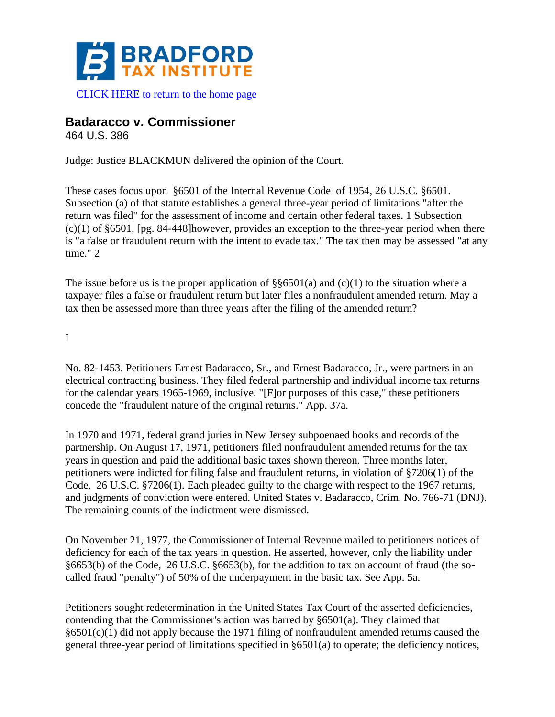

**Badaracco v. Commissioner**

464 U.S. 386

Judge: Justice BLACKMUN delivered the opinion of the Court.

These cases focus upon §6501 of the Internal Revenue Code of 1954, 26 U.S.C. §6501. Subsection (a) of that statute establishes a general three-year period of limitations "after the return was filed" for the assessment of income and certain other federal taxes. 1 Subsection  $(c)(1)$  of §6501, [pg. 84-448] however, provides an exception to the three-year period when there is "a false or fraudulent return with the intent to evade tax." The tax then may be assessed "at any time." 2

The issue before us is the proper application of  $\S$ §6501(a) and (c)(1) to the situation where a taxpayer files a false or fraudulent return but later files a nonfraudulent amended return. May a tax then be assessed more than three years after the filing of the amended return?

I

No. 82-1453. Petitioners Ernest Badaracco, Sr., and Ernest Badaracco, Jr., were partners in an electrical contracting business. They filed federal partnership and individual income tax returns for the calendar years 1965-1969, inclusive. "[F]or purposes of this case," these petitioners concede the "fraudulent nature of the original returns." App. 37a.

In 1970 and 1971, federal grand juries in New Jersey subpoenaed books and records of the partnership. On August 17, 1971, petitioners filed nonfraudulent amended returns for the tax years in question and paid the additional basic taxes shown thereon. Three months later, petitioners were indicted for filing false and fraudulent returns, in violation of §7206(1) of the Code, 26 U.S.C. §7206(1). Each pleaded guilty to the charge with respect to the 1967 returns, and judgments of conviction were entered. United States v. Badaracco, Crim. No. 766-71 (DNJ). The remaining counts of the indictment were dismissed.

On November 21, 1977, the Commissioner of Internal Revenue mailed to petitioners notices of deficiency for each of the tax years in question. He asserted, however, only the liability under §6653(b) of the Code, 26 U.S.C. §6653(b), for the addition to tax on account of fraud (the socalled fraud "penalty") of 50% of the underpayment in the basic tax. See App. 5a.

Petitioners sought redetermination in the United States Tax Court of the asserted deficiencies, contending that the Commissioner's action was barred by §6501(a). They claimed that  $§6501(c)(1)$  did not apply because the 1971 filing of nonfraudulent amended returns caused the general three-year period of limitations specified in §6501(a) to operate; the deficiency notices,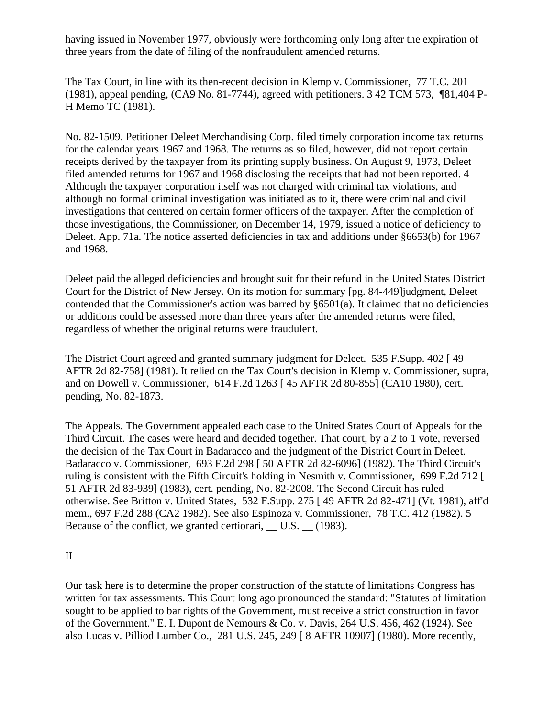having issued in November 1977, obviously were forthcoming only long after the expiration of three years from the date of filing of the nonfraudulent amended returns.

The Tax Court, in line with its then-recent decision in Klemp v. Commissioner, 77 T.C. 201 (1981), appeal pending, (CA9 No. 81-7744), agreed with petitioners. 3 42 TCM 573, ¶81,404 P-H Memo TC (1981).

No. 82-1509. Petitioner Deleet Merchandising Corp. filed timely corporation income tax returns for the calendar years 1967 and 1968. The returns as so filed, however, did not report certain receipts derived by the taxpayer from its printing supply business. On August 9, 1973, Deleet filed amended returns for 1967 and 1968 disclosing the receipts that had not been reported. 4 Although the taxpayer corporation itself was not charged with criminal tax violations, and although no formal criminal investigation was initiated as to it, there were criminal and civil investigations that centered on certain former officers of the taxpayer. After the completion of those investigations, the Commissioner, on December 14, 1979, issued a notice of deficiency to Deleet. App. 71a. The notice asserted deficiencies in tax and additions under §6653(b) for 1967 and 1968.

Deleet paid the alleged deficiencies and brought suit for their refund in the United States District Court for the District of New Jersey. On its motion for summary [pg. 84-449]judgment, Deleet contended that the Commissioner's action was barred by §6501(a). It claimed that no deficiencies or additions could be assessed more than three years after the amended returns were filed, regardless of whether the original returns were fraudulent.

The District Court agreed and granted summary judgment for Deleet. 535 F.Supp. 402 [ 49 AFTR 2d 82-758] (1981). It relied on the Tax Court's decision in Klemp v. Commissioner, supra, and on Dowell v. Commissioner, 614 F.2d 1263 [ 45 AFTR 2d 80-855] (CA10 1980), cert. pending, No. 82-1873.

The Appeals. The Government appealed each case to the United States Court of Appeals for the Third Circuit. The cases were heard and decided together. That court, by a 2 to 1 vote, reversed the decision of the Tax Court in Badaracco and the judgment of the District Court in Deleet. Badaracco v. Commissioner, 693 F.2d 298 [ 50 AFTR 2d 82-6096] (1982). The Third Circuit's ruling is consistent with the Fifth Circuit's holding in Nesmith v. Commissioner, 699 F.2d 712 [ 51 AFTR 2d 83-939] (1983), cert. pending, No. 82-2008. The Second Circuit has ruled otherwise. See Britton v. United States, 532 F.Supp. 275 [ 49 AFTR 2d 82-471] (Vt. 1981), aff'd mem., 697 F.2d 288 (CA2 1982). See also Espinoza v. Commissioner, 78 T.C. 412 (1982). 5 Because of the conflict, we granted certiorari, \_\_ U.S. \_\_ (1983).

II

Our task here is to determine the proper construction of the statute of limitations Congress has written for tax assessments. This Court long ago pronounced the standard: "Statutes of limitation sought to be applied to bar rights of the Government, must receive a strict construction in favor of the Government." E. I. Dupont de Nemours & Co. v. Davis, 264 U.S. 456, 462 (1924). See also Lucas v. Pilliod Lumber Co., 281 U.S. 245, 249 [ 8 AFTR 10907] (1980). More recently,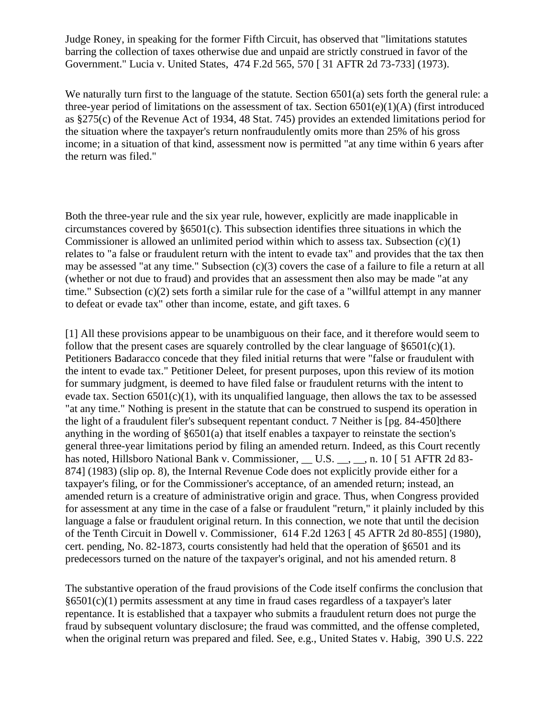Judge Roney, in speaking for the former Fifth Circuit, has observed that "limitations statutes barring the collection of taxes otherwise due and unpaid are strictly construed in favor of the Government." Lucia v. United States, 474 F.2d 565, 570 [ 31 AFTR 2d 73-733] (1973).

We naturally turn first to the language of the statute. Section 6501(a) sets forth the general rule: a three-year period of limitations on the assessment of tax. Section 6501(e)(1)(A) (first introduced as §275(c) of the Revenue Act of 1934, 48 Stat. 745) provides an extended limitations period for the situation where the taxpayer's return nonfraudulently omits more than 25% of his gross income; in a situation of that kind, assessment now is permitted "at any time within 6 years after the return was filed."

Both the three-year rule and the six year rule, however, explicitly are made inapplicable in circumstances covered by §6501(c). This subsection identifies three situations in which the Commissioner is allowed an unlimited period within which to assess tax. Subsection (c)(1) relates to "a false or fraudulent return with the intent to evade tax" and provides that the tax then may be assessed "at any time." Subsection (c)(3) covers the case of a failure to file a return at all (whether or not due to fraud) and provides that an assessment then also may be made "at any time." Subsection (c)(2) sets forth a similar rule for the case of a "willful attempt in any manner to defeat or evade tax" other than income, estate, and gift taxes. 6

[1] All these provisions appear to be unambiguous on their face, and it therefore would seem to follow that the present cases are squarely controlled by the clear language of  $§6501(c)(1)$ . Petitioners Badaracco concede that they filed initial returns that were "false or fraudulent with the intent to evade tax." Petitioner Deleet, for present purposes, upon this review of its motion for summary judgment, is deemed to have filed false or fraudulent returns with the intent to evade tax. Section  $6501(c)(1)$ , with its unqualified language, then allows the tax to be assessed "at any time." Nothing is present in the statute that can be construed to suspend its operation in the light of a fraudulent filer's subsequent repentant conduct. 7 Neither is [pg. 84-450]there anything in the wording of §6501(a) that itself enables a taxpayer to reinstate the section's general three-year limitations period by filing an amended return. Indeed, as this Court recently has noted, Hillsboro National Bank v. Commissioner, U.S. , n. 10 [ 51 AFTR 2d 83-874] (1983) (slip op. 8), the Internal Revenue Code does not explicitly provide either for a taxpayer's filing, or for the Commissioner's acceptance, of an amended return; instead, an amended return is a creature of administrative origin and grace. Thus, when Congress provided for assessment at any time in the case of a false or fraudulent "return," it plainly included by this language a false or fraudulent original return. In this connection, we note that until the decision of the Tenth Circuit in Dowell v. Commissioner, 614 F.2d 1263 [ 45 AFTR 2d 80-855] (1980), cert. pending, No. 82-1873, courts consistently had held that the operation of §6501 and its predecessors turned on the nature of the taxpayer's original, and not his amended return. 8

The substantive operation of the fraud provisions of the Code itself confirms the conclusion that  $§6501(c)(1)$  permits assessment at any time in fraud cases regardless of a taxpayer's later repentance. It is established that a taxpayer who submits a fraudulent return does not purge the fraud by subsequent voluntary disclosure; the fraud was committed, and the offense completed, when the original return was prepared and filed. See, e.g., United States v. Habig, 390 U.S. 222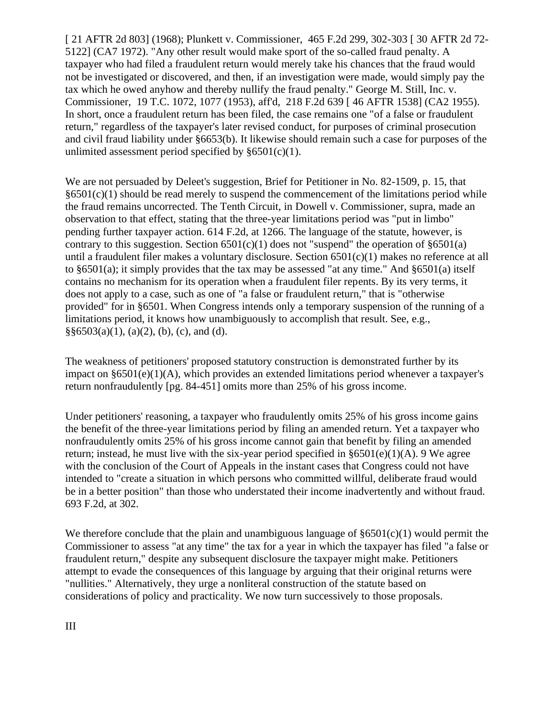[ 21 AFTR 2d 803] (1968); Plunkett v. Commissioner, 465 F.2d 299, 302-303 [ 30 AFTR 2d 72- 5122] (CA7 1972). "Any other result would make sport of the so-called fraud penalty. A taxpayer who had filed a fraudulent return would merely take his chances that the fraud would not be investigated or discovered, and then, if an investigation were made, would simply pay the tax which he owed anyhow and thereby nullify the fraud penalty." George M. Still, Inc. v. Commissioner, 19 T.C. 1072, 1077 (1953), aff'd, 218 F.2d 639 [ 46 AFTR 1538] (CA2 1955). In short, once a fraudulent return has been filed, the case remains one "of a false or fraudulent return," regardless of the taxpayer's later revised conduct, for purposes of criminal prosecution and civil fraud liability under §6653(b). It likewise should remain such a case for purposes of the unlimited assessment period specified by  $§6501(c)(1)$ .

We are not persuaded by Deleet's suggestion, Brief for Petitioner in No. 82-1509, p. 15, that  $§6501(c)(1)$  should be read merely to suspend the commencement of the limitations period while the fraud remains uncorrected. The Tenth Circuit, in Dowell v. Commissioner, supra, made an observation to that effect, stating that the three-year limitations period was "put in limbo" pending further taxpayer action. 614 F.2d, at 1266. The language of the statute, however, is contrary to this suggestion. Section  $6501(c)(1)$  does not "suspend" the operation of §6501(a) until a fraudulent filer makes a voluntary disclosure. Section  $6501(c)(1)$  makes no reference at all to §6501(a); it simply provides that the tax may be assessed "at any time." And §6501(a) itself contains no mechanism for its operation when a fraudulent filer repents. By its very terms, it does not apply to a case, such as one of "a false or fraudulent return," that is "otherwise provided" for in §6501. When Congress intends only a temporary suspension of the running of a limitations period, it knows how unambiguously to accomplish that result. See, e.g.,  $\S$ §6503(a)(1), (a)(2), (b), (c), and (d).

The weakness of petitioners' proposed statutory construction is demonstrated further by its impact on §6501(e)(1)(A), which provides an extended limitations period whenever a taxpayer's return nonfraudulently [pg. 84-451] omits more than 25% of his gross income.

Under petitioners' reasoning, a taxpayer who fraudulently omits 25% of his gross income gains the benefit of the three-year limitations period by filing an amended return. Yet a taxpayer who nonfraudulently omits 25% of his gross income cannot gain that benefit by filing an amended return; instead, he must live with the six-year period specified in  $§6501(e)(1)(A)$ . 9 We agree with the conclusion of the Court of Appeals in the instant cases that Congress could not have intended to "create a situation in which persons who committed willful, deliberate fraud would be in a better position" than those who understated their income inadvertently and without fraud. 693 F.2d, at 302.

We therefore conclude that the plain and unambiguous language of  $§6501(c)(1)$  would permit the Commissioner to assess "at any time" the tax for a year in which the taxpayer has filed "a false or fraudulent return," despite any subsequent disclosure the taxpayer might make. Petitioners attempt to evade the consequences of this language by arguing that their original returns were "nullities." Alternatively, they urge a nonliteral construction of the statute based on considerations of policy and practicality. We now turn successively to those proposals.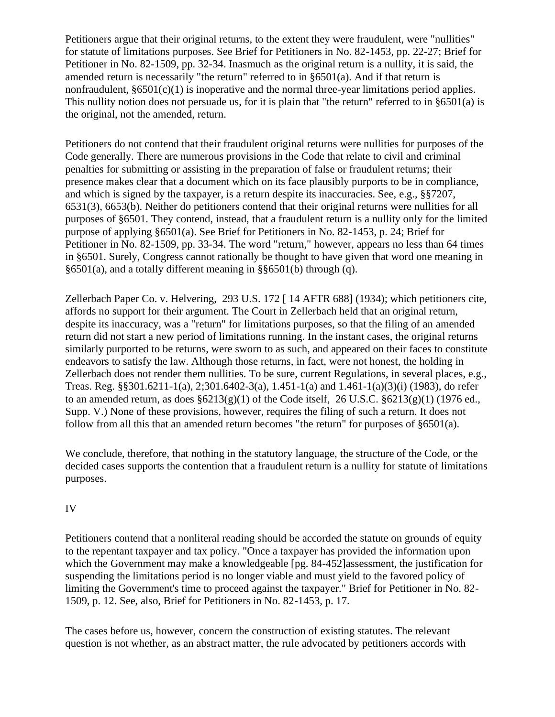Petitioners argue that their original returns, to the extent they were fraudulent, were "nullities" for statute of limitations purposes. See Brief for Petitioners in No. 82-1453, pp. 22-27; Brief for Petitioner in No. 82-1509, pp. 32-34. Inasmuch as the original return is a nullity, it is said, the amended return is necessarily "the return" referred to in §6501(a). And if that return is nonfraudulent,  $§6501(c)(1)$  is inoperative and the normal three-year limitations period applies. This nullity notion does not persuade us, for it is plain that "the return" referred to in §6501(a) is the original, not the amended, return.

Petitioners do not contend that their fraudulent original returns were nullities for purposes of the Code generally. There are numerous provisions in the Code that relate to civil and criminal penalties for submitting or assisting in the preparation of false or fraudulent returns; their presence makes clear that a document which on its face plausibly purports to be in compliance, and which is signed by the taxpayer, is a return despite its inaccuracies. See, e.g., §§7207, 6531(3), 6653(b). Neither do petitioners contend that their original returns were nullities for all purposes of §6501. They contend, instead, that a fraudulent return is a nullity only for the limited purpose of applying §6501(a). See Brief for Petitioners in No. 82-1453, p. 24; Brief for Petitioner in No. 82-1509, pp. 33-34. The word "return," however, appears no less than 64 times in §6501. Surely, Congress cannot rationally be thought to have given that word one meaning in §6501(a), and a totally different meaning in §§6501(b) through (q).

Zellerbach Paper Co. v. Helvering, 293 U.S. 172 [ 14 AFTR 688] (1934); which petitioners cite, affords no support for their argument. The Court in Zellerbach held that an original return, despite its inaccuracy, was a "return" for limitations purposes, so that the filing of an amended return did not start a new period of limitations running. In the instant cases, the original returns similarly purported to be returns, were sworn to as such, and appeared on their faces to constitute endeavors to satisfy the law. Although those returns, in fact, were not honest, the holding in Zellerbach does not render them nullities. To be sure, current Regulations, in several places, e.g., Treas. Reg. §§301.6211-1(a), 2;301.6402-3(a), 1.451-1(a) and 1.461-1(a)(3)(i) (1983), do refer to an amended return, as does  $\S6213(g)(1)$  of the Code itself, 26 U.S.C.  $\S6213(g)(1)$  (1976 ed., Supp. V.) None of these provisions, however, requires the filing of such a return. It does not follow from all this that an amended return becomes "the return" for purposes of  $§6501(a)$ .

We conclude, therefore, that nothing in the statutory language, the structure of the Code, or the decided cases supports the contention that a fraudulent return is a nullity for statute of limitations purposes.

# IV

Petitioners contend that a nonliteral reading should be accorded the statute on grounds of equity to the repentant taxpayer and tax policy. "Once a taxpayer has provided the information upon which the Government may make a knowledgeable [pg. 84-452]assessment, the justification for suspending the limitations period is no longer viable and must yield to the favored policy of limiting the Government's time to proceed against the taxpayer." Brief for Petitioner in No. 82- 1509, p. 12. See, also, Brief for Petitioners in No. 82-1453, p. 17.

The cases before us, however, concern the construction of existing statutes. The relevant question is not whether, as an abstract matter, the rule advocated by petitioners accords with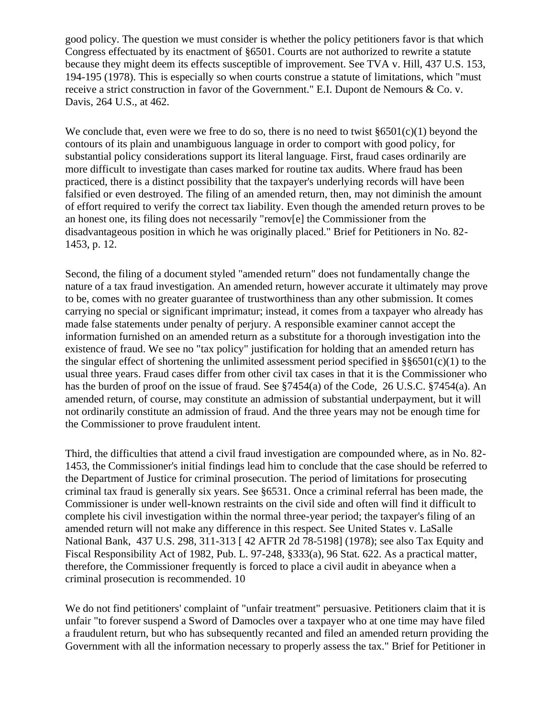good policy. The question we must consider is whether the policy petitioners favor is that which Congress effectuated by its enactment of §6501. Courts are not authorized to rewrite a statute because they might deem its effects susceptible of improvement. See TVA v. Hill, 437 U.S. 153, 194-195 (1978). This is especially so when courts construe a statute of limitations, which "must receive a strict construction in favor of the Government." E.I. Dupont de Nemours & Co. v. Davis, 264 U.S., at 462.

We conclude that, even were we free to do so, there is no need to twist  $\S 6501(c)(1)$  beyond the contours of its plain and unambiguous language in order to comport with good policy, for substantial policy considerations support its literal language. First, fraud cases ordinarily are more difficult to investigate than cases marked for routine tax audits. Where fraud has been practiced, there is a distinct possibility that the taxpayer's underlying records will have been falsified or even destroyed. The filing of an amended return, then, may not diminish the amount of effort required to verify the correct tax liability. Even though the amended return proves to be an honest one, its filing does not necessarily "remov[e] the Commissioner from the disadvantageous position in which he was originally placed." Brief for Petitioners in No. 82- 1453, p. 12.

Second, the filing of a document styled "amended return" does not fundamentally change the nature of a tax fraud investigation. An amended return, however accurate it ultimately may prove to be, comes with no greater guarantee of trustworthiness than any other submission. It comes carrying no special or significant imprimatur; instead, it comes from a taxpayer who already has made false statements under penalty of perjury. A responsible examiner cannot accept the information furnished on an amended return as a substitute for a thorough investigation into the existence of fraud. We see no "tax policy" justification for holding that an amended return has the singular effect of shortening the unlimited assessment period specified in  $\S$ §6501(c)(1) to the usual three years. Fraud cases differ from other civil tax cases in that it is the Commissioner who has the burden of proof on the issue of fraud. See §7454(a) of the Code, 26 U.S.C. §7454(a). An amended return, of course, may constitute an admission of substantial underpayment, but it will not ordinarily constitute an admission of fraud. And the three years may not be enough time for the Commissioner to prove fraudulent intent.

Third, the difficulties that attend a civil fraud investigation are compounded where, as in No. 82- 1453, the Commissioner's initial findings lead him to conclude that the case should be referred to the Department of Justice for criminal prosecution. The period of limitations for prosecuting criminal tax fraud is generally six years. See §6531. Once a criminal referral has been made, the Commissioner is under well-known restraints on the civil side and often will find it difficult to complete his civil investigation within the normal three-year period; the taxpayer's filing of an amended return will not make any difference in this respect. See United States v. LaSalle National Bank, 437 U.S. 298, 311-313 [ 42 AFTR 2d 78-5198] (1978); see also Tax Equity and Fiscal Responsibility Act of 1982, Pub. L. 97-248, §333(a), 96 Stat. 622. As a practical matter, therefore, the Commissioner frequently is forced to place a civil audit in abeyance when a criminal prosecution is recommended. 10

We do not find petitioners' complaint of "unfair treatment" persuasive. Petitioners claim that it is unfair "to forever suspend a Sword of Damocles over a taxpayer who at one time may have filed a fraudulent return, but who has subsequently recanted and filed an amended return providing the Government with all the information necessary to properly assess the tax." Brief for Petitioner in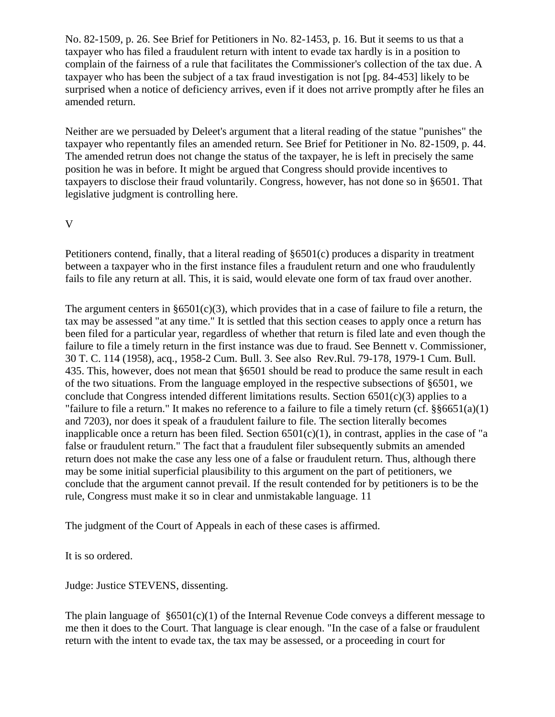No. 82-1509, p. 26. See Brief for Petitioners in No. 82-1453, p. 16. But it seems to us that a taxpayer who has filed a fraudulent return with intent to evade tax hardly is in a position to complain of the fairness of a rule that facilitates the Commissioner's collection of the tax due. A taxpayer who has been the subject of a tax fraud investigation is not [pg. 84-453] likely to be surprised when a notice of deficiency arrives, even if it does not arrive promptly after he files an amended return.

Neither are we persuaded by Deleet's argument that a literal reading of the statue "punishes" the taxpayer who repentantly files an amended return. See Brief for Petitioner in No. 82-1509, p. 44. The amended retrun does not change the status of the taxpayer, he is left in precisely the same position he was in before. It might be argued that Congress should provide incentives to taxpayers to disclose their fraud voluntarily. Congress, however, has not done so in §6501. That legislative judgment is controlling here.

## V

Petitioners contend, finally, that a literal reading of §6501(c) produces a disparity in treatment between a taxpayer who in the first instance files a fraudulent return and one who fraudulently fails to file any return at all. This, it is said, would elevate one form of tax fraud over another.

The argument centers in  $\S 6501(c)(3)$ , which provides that in a case of failure to file a return, the tax may be assessed "at any time." It is settled that this section ceases to apply once a return has been filed for a particular year, regardless of whether that return is filed late and even though the failure to file a timely return in the first instance was due to fraud. See Bennett v. Commissioner, 30 T. C. 114 (1958), acq., 1958-2 Cum. Bull. 3. See also Rev.Rul. 79-178, 1979-1 Cum. Bull. 435. This, however, does not mean that §6501 should be read to produce the same result in each of the two situations. From the language employed in the respective subsections of §6501, we conclude that Congress intended different limitations results. Section  $6501(c)(3)$  applies to a "failure to file a return." It makes no reference to a failure to file a timely return (cf. §§6651(a)(1) and 7203), nor does it speak of a fraudulent failure to file. The section literally becomes inapplicable once a return has been filed. Section  $6501(c)(1)$ , in contrast, applies in the case of "a false or fraudulent return." The fact that a fraudulent filer subsequently submits an amended return does not make the case any less one of a false or fraudulent return. Thus, although there may be some initial superficial plausibility to this argument on the part of petitioners, we conclude that the argument cannot prevail. If the result contended for by petitioners is to be the rule, Congress must make it so in clear and unmistakable language. 11

The judgment of the Court of Appeals in each of these cases is affirmed.

It is so ordered.

Judge: Justice STEVENS, dissenting.

The plain language of  $\S 6501(c)(1)$  of the Internal Revenue Code conveys a different message to me then it does to the Court. That language is clear enough. "In the case of a false or fraudulent return with the intent to evade tax, the tax may be assessed, or a proceeding in court for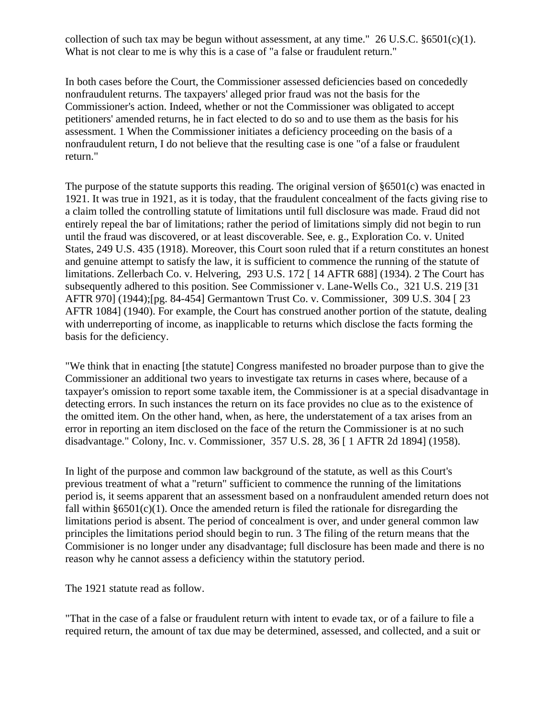collection of such tax may be begun without assessment, at any time."  $26$  U.S.C.  $§6501(c)(1)$ . What is not clear to me is why this is a case of "a false or fraudulent return."

In both cases before the Court, the Commissioner assessed deficiencies based on concededly nonfraudulent returns. The taxpayers' alleged prior fraud was not the basis for the Commissioner's action. Indeed, whether or not the Commissioner was obligated to accept petitioners' amended returns, he in fact elected to do so and to use them as the basis for his assessment. 1 When the Commissioner initiates a deficiency proceeding on the basis of a nonfraudulent return, I do not believe that the resulting case is one "of a false or fraudulent return."

The purpose of the statute supports this reading. The original version of §6501(c) was enacted in 1921. It was true in 1921, as it is today, that the fraudulent concealment of the facts giving rise to a claim tolled the controlling statute of limitations until full disclosure was made. Fraud did not entirely repeal the bar of limitations; rather the period of limitations simply did not begin to run until the fraud was discovered, or at least discoverable. See, e. g., Exploration Co. v. United States, 249 U.S. 435 (1918). Moreover, this Court soon ruled that if a return constitutes an honest and genuine attempt to satisfy the law, it is sufficient to commence the running of the statute of limitations. Zellerbach Co. v. Helvering, 293 U.S. 172 [ 14 AFTR 688] (1934). 2 The Court has subsequently adhered to this position. See Commissioner v. Lane-Wells Co., 321 U.S. 219 [31 AFTR 970] (1944);[pg. 84-454] Germantown Trust Co. v. Commissioner, 309 U.S. 304 [ 23 AFTR 1084] (1940). For example, the Court has construed another portion of the statute, dealing with underreporting of income, as inapplicable to returns which disclose the facts forming the basis for the deficiency.

"We think that in enacting [the statute] Congress manifested no broader purpose than to give the Commissioner an additional two years to investigate tax returns in cases where, because of a taxpayer's omission to report some taxable item, the Commissioner is at a special disadvantage in detecting errors. In such instances the return on its face provides no clue as to the existence of the omitted item. On the other hand, when, as here, the understatement of a tax arises from an error in reporting an item disclosed on the face of the return the Commissioner is at no such disadvantage." Colony, Inc. v. Commissioner, 357 U.S. 28, 36 [ 1 AFTR 2d 1894] (1958).

In light of the purpose and common law background of the statute, as well as this Court's previous treatment of what a "return" sufficient to commence the running of the limitations period is, it seems apparent that an assessment based on a nonfraudulent amended return does not fall within  $\S 6501(c)(1)$ . Once the amended return is filed the rationale for disregarding the limitations period is absent. The period of concealment is over, and under general common law principles the limitations period should begin to run. 3 The filing of the return means that the Commisioner is no longer under any disadvantage; full disclosure has been made and there is no reason why he cannot assess a deficiency within the statutory period.

The 1921 statute read as follow.

"That in the case of a false or fraudulent return with intent to evade tax, or of a failure to file a required return, the amount of tax due may be determined, assessed, and collected, and a suit or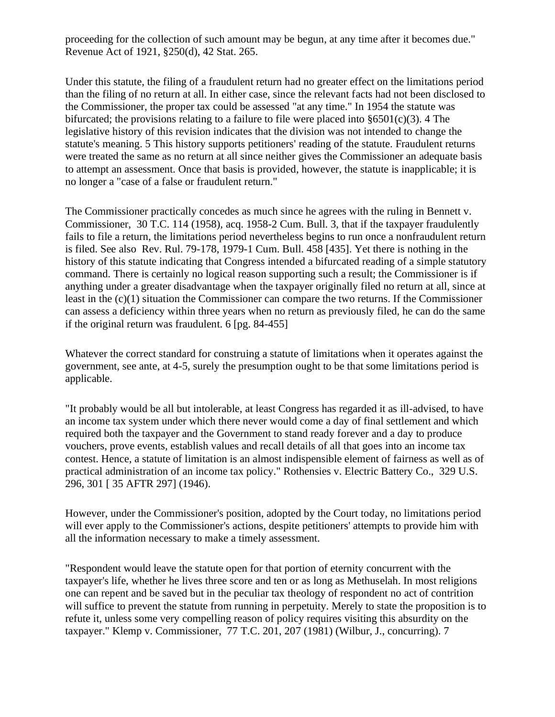proceeding for the collection of such amount may be begun, at any time after it becomes due." Revenue Act of 1921, §250(d), 42 Stat. 265.

Under this statute, the filing of a fraudulent return had no greater effect on the limitations period than the filing of no return at all. In either case, since the relevant facts had not been disclosed to the Commissioner, the proper tax could be assessed "at any time." In 1954 the statute was bifurcated; the provisions relating to a failure to file were placed into  $\S 6501(c)(3)$ . 4 The legislative history of this revision indicates that the division was not intended to change the statute's meaning. 5 This history supports petitioners' reading of the statute. Fraudulent returns were treated the same as no return at all since neither gives the Commissioner an adequate basis to attempt an assessment. Once that basis is provided, however, the statute is inapplicable; it is no longer a "case of a false or fraudulent return."

The Commissioner practically concedes as much since he agrees with the ruling in Bennett v. Commissioner, 30 T.C. 114 (1958), acq. 1958-2 Cum. Bull. 3, that if the taxpayer fraudulently fails to file a return, the limitations period nevertheless begins to run once a nonfraudulent return is filed. See also Rev. Rul. 79-178, 1979-1 Cum. Bull. 458 [435]. Yet there is nothing in the history of this statute indicating that Congress intended a bifurcated reading of a simple statutory command. There is certainly no logical reason supporting such a result; the Commissioner is if anything under a greater disadvantage when the taxpayer originally filed no return at all, since at least in the (c)(1) situation the Commissioner can compare the two returns. If the Commissioner can assess a deficiency within three years when no return as previously filed, he can do the same if the original return was fraudulent. 6 [pg. 84-455]

Whatever the correct standard for construing a statute of limitations when it operates against the government, see ante, at 4-5, surely the presumption ought to be that some limitations period is applicable.

"It probably would be all but intolerable, at least Congress has regarded it as ill-advised, to have an income tax system under which there never would come a day of final settlement and which required both the taxpayer and the Government to stand ready forever and a day to produce vouchers, prove events, establish values and recall details of all that goes into an income tax contest. Hence, a statute of limitation is an almost indispensible element of fairness as well as of practical administration of an income tax policy." Rothensies v. Electric Battery Co., 329 U.S. 296, 301 [ 35 AFTR 297] (1946).

However, under the Commissioner's position, adopted by the Court today, no limitations period will ever apply to the Commissioner's actions, despite petitioners' attempts to provide him with all the information necessary to make a timely assessment.

"Respondent would leave the statute open for that portion of eternity concurrent with the taxpayer's life, whether he lives three score and ten or as long as Methuselah. In most religions one can repent and be saved but in the peculiar tax theology of respondent no act of contrition will suffice to prevent the statute from running in perpetuity. Merely to state the proposition is to refute it, unless some very compelling reason of policy requires visiting this absurdity on the taxpayer." Klemp v. Commissioner, 77 T.C. 201, 207 (1981) (Wilbur, J., concurring). 7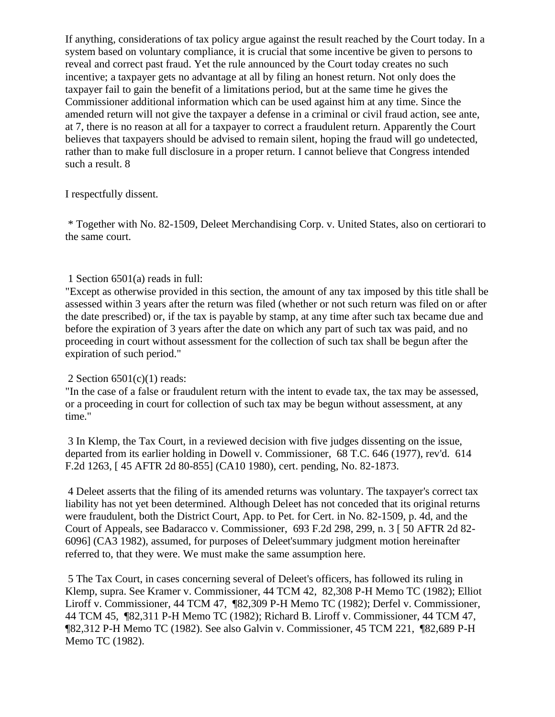If anything, considerations of tax policy argue against the result reached by the Court today. In a system based on voluntary compliance, it is crucial that some incentive be given to persons to reveal and correct past fraud. Yet the rule announced by the Court today creates no such incentive; a taxpayer gets no advantage at all by filing an honest return. Not only does the taxpayer fail to gain the benefit of a limitations period, but at the same time he gives the Commissioner additional information which can be used against him at any time. Since the amended return will not give the taxpayer a defense in a criminal or civil fraud action, see ante, at 7, there is no reason at all for a taxpayer to correct a fraudulent return. Apparently the Court believes that taxpayers should be advised to remain silent, hoping the fraud will go undetected, rather than to make full disclosure in a proper return. I cannot believe that Congress intended such a result. 8

## I respectfully dissent.

\* Together with No. 82-1509, Deleet Merchandising Corp. v. United States, also on certiorari to the same court.

### 1 Section 6501(a) reads in full:

"Except as otherwise provided in this section, the amount of any tax imposed by this title shall be assessed within 3 years after the return was filed (whether or not such return was filed on or after the date prescribed) or, if the tax is payable by stamp, at any time after such tax became due and before the expiration of 3 years after the date on which any part of such tax was paid, and no proceeding in court without assessment for the collection of such tax shall be begun after the expiration of such period."

### 2 Section  $6501(c)(1)$  reads:

"In the case of a false or fraudulent return with the intent to evade tax, the tax may be assessed, or a proceeding in court for collection of such tax may be begun without assessment, at any time."

3 In Klemp, the Tax Court, in a reviewed decision with five judges dissenting on the issue, departed from its earlier holding in Dowell v. Commissioner, 68 T.C. 646 (1977), rev'd. 614 F.2d 1263, [ 45 AFTR 2d 80-855] (CA10 1980), cert. pending, No. 82-1873.

4 Deleet asserts that the filing of its amended returns was voluntary. The taxpayer's correct tax liability has not yet been determined. Although Deleet has not conceded that its original returns were fraudulent, both the District Court, App. to Pet. for Cert. in No. 82-1509, p. 4d, and the Court of Appeals, see Badaracco v. Commissioner, 693 F.2d 298, 299, n. 3 [ 50 AFTR 2d 82- 6096] (CA3 1982), assumed, for purposes of Deleet'summary judgment motion hereinafter referred to, that they were. We must make the same assumption here.

5 The Tax Court, in cases concerning several of Deleet's officers, has followed its ruling in Klemp, supra. See Kramer v. Commissioner, 44 TCM 42, 82,308 P-H Memo TC (1982); Elliot Liroff v. Commissioner, 44 TCM 47, ¶82,309 P-H Memo TC (1982); Derfel v. Commissioner, 44 TCM 45, ¶82,311 P-H Memo TC (1982); Richard B. Liroff v. Commissioner, 44 TCM 47, ¶82,312 P-H Memo TC (1982). See also Galvin v. Commissioner, 45 TCM 221, ¶82,689 P-H Memo TC (1982).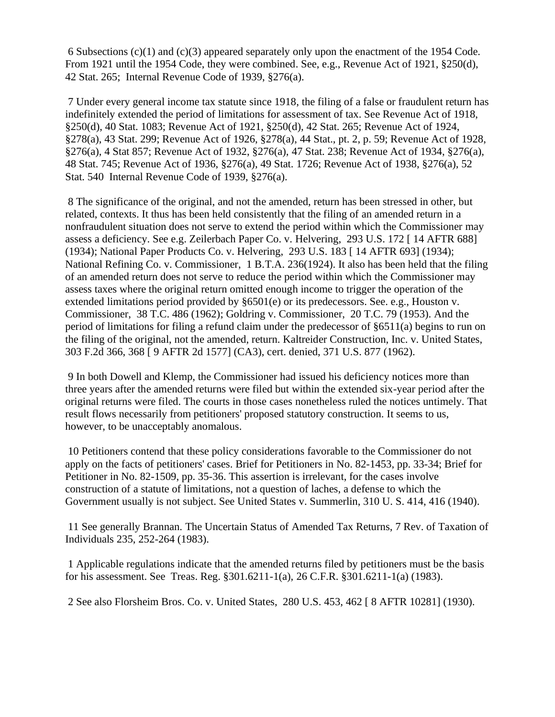6 Subsections  $(c)(1)$  and  $(c)(3)$  appeared separately only upon the enactment of the 1954 Code. From 1921 until the 1954 Code, they were combined. See, e.g., Revenue Act of 1921, §250(d), 42 Stat. 265; Internal Revenue Code of 1939, §276(a).

7 Under every general income tax statute since 1918, the filing of a false or fraudulent return has indefinitely extended the period of limitations for assessment of tax. See Revenue Act of 1918, §250(d), 40 Stat. 1083; Revenue Act of 1921, §250(d), 42 Stat. 265; Revenue Act of 1924, §278(a), 43 Stat. 299; Revenue Act of 1926, §278(a), 44 Stat., pt. 2, p. 59; Revenue Act of 1928, §276(a), 4 Stat 857; Revenue Act of 1932, §276(a), 47 Stat. 238; Revenue Act of 1934, §276(a), 48 Stat. 745; Revenue Act of 1936, §276(a), 49 Stat. 1726; Revenue Act of 1938, §276(a), 52 Stat. 540 Internal Revenue Code of 1939, §276(a).

8 The significance of the original, and not the amended, return has been stressed in other, but related, contexts. It thus has been held consistently that the filing of an amended return in a nonfraudulent situation does not serve to extend the period within which the Commissioner may assess a deficiency. See e.g. Zeilerbach Paper Co. v. Helvering, 293 U.S. 172 [ 14 AFTR 688] (1934); National Paper Products Co. v. Helvering, 293 U.S. 183 [ 14 AFTR 693] (1934); National Refining Co. v. Commissioner, 1 B.T.A. 236(1924). It also has been held that the filing of an amended return does not serve to reduce the period within which the Commissioner may assess taxes where the original return omitted enough income to trigger the operation of the extended limitations period provided by §6501(e) or its predecessors. See. e.g., Houston v. Commissioner, 38 T.C. 486 (1962); Goldring v. Commissioner, 20 T.C. 79 (1953). And the period of limitations for filing a refund claim under the predecessor of §6511(a) begins to run on the filing of the original, not the amended, return. Kaltreider Construction, Inc. v. United States, 303 F.2d 366, 368 [ 9 AFTR 2d 1577] (CA3), cert. denied, 371 U.S. 877 (1962).

9 In both Dowell and Klemp, the Commissioner had issued his deficiency notices more than three years after the amended returns were filed but within the extended six-year period after the original returns were filed. The courts in those cases nonetheless ruled the notices untimely. That result flows necessarily from petitioners' proposed statutory construction. It seems to us, however, to be unacceptably anomalous.

10 Petitioners contend that these policy considerations favorable to the Commissioner do not apply on the facts of petitioners' cases. Brief for Petitioners in No. 82-1453, pp. 33-34; Brief for Petitioner in No. 82-1509, pp. 35-36. This assertion is irrelevant, for the cases involve construction of a statute of limitations, not a question of laches, a defense to which the Government usually is not subject. See United States v. Summerlin, 310 U. S. 414, 416 (1940).

11 See generally Brannan. The Uncertain Status of Amended Tax Returns, 7 Rev. of Taxation of Individuals 235, 252-264 (1983).

1 Applicable regulations indicate that the amended returns filed by petitioners must be the basis for his assessment. See Treas. Reg. §301.6211-1(a), 26 C.F.R. §301.6211-1(a) (1983).

2 See also Florsheim Bros. Co. v. United States, 280 U.S. 453, 462 [ 8 AFTR 10281] (1930).